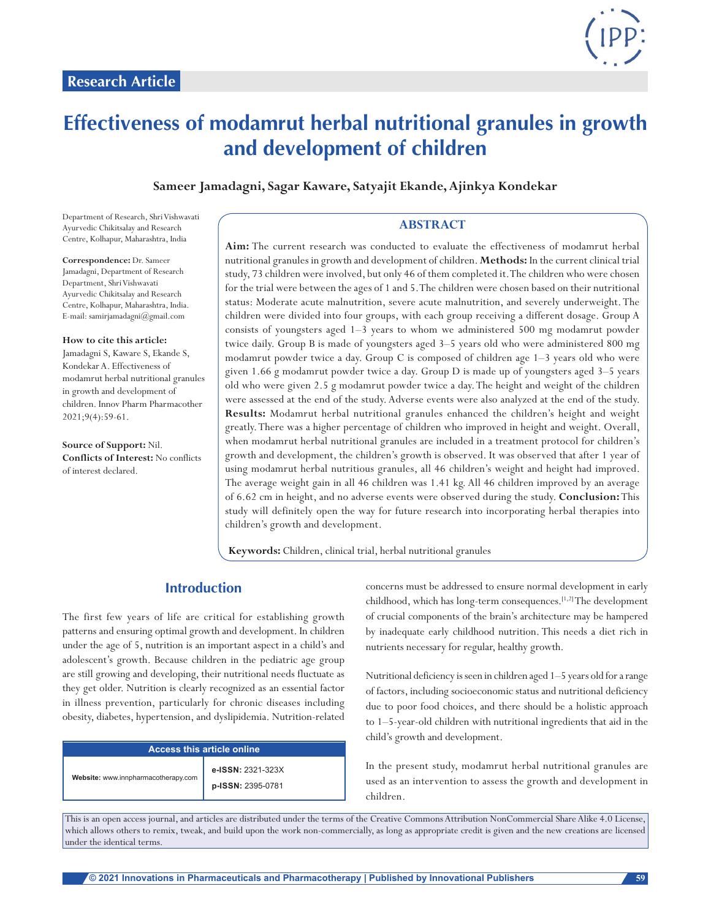

# **Effectiveness of modamrut herbal nutritional granules in growth and development of children**

**Sameer Jamadagni, Sagar Kaware, Satyajit Ekande, Ajinkya Kondekar**

Department of Research, Shri Vishwavati Ayurvedic Chikitsalay and Research Centre, Kolhapur, Maharashtra, India

**Correspondence:** Dr. Sameer Jamadagni, Department of Research Department, Shri Vishwavati Ayurvedic Chikitsalay and Research Centre, Kolhapur, Maharashtra, India. E-mail: samirjamadagni@gmail.com

**How to cite this article:**

Jamadagni S, Kaware S, Ekande S, Kondekar A. Effectiveness of modamrut herbal nutritional granules in growth and development of children. Innov Pharm Pharmacother 2021;9(4):59-61.

**Source of Support:** Nil. **Conflicts of Interest:** No conflicts of interest declared.

## **ABSTRACT**

**Aim:** The current research was conducted to evaluate the effectiveness of modamrut herbal nutritional granules in growth and development of children. **Methods:** In the current clinical trial study, 73 children were involved, but only 46 of them completed it. The children who were chosen for the trial were between the ages of 1 and 5. The children were chosen based on their nutritional status: Moderate acute malnutrition, severe acute malnutrition, and severely underweight. The children were divided into four groups, with each group receiving a different dosage. Group A consists of youngsters aged 1–3 years to whom we administered 500 mg modamrut powder twice daily. Group B is made of youngsters aged 3–5 years old who were administered 800 mg modamrut powder twice a day. Group C is composed of children age 1–3 years old who were given 1.66 g modamrut powder twice a day. Group D is made up of youngsters aged 3–5 years old who were given 2.5 g modamrut powder twice a day. The height and weight of the children were assessed at the end of the study. Adverse events were also analyzed at the end of the study. **Results:** Modamrut herbal nutritional granules enhanced the children's height and weight greatly. There was a higher percentage of children who improved in height and weight. Overall, when modamrut herbal nutritional granules are included in a treatment protocol for children's growth and development, the children's growth is observed. It was observed that after 1 year of using modamrut herbal nutritious granules, all 46 children's weight and height had improved. The average weight gain in all 46 children was 1.41 kg. All 46 children improved by an average of 6.62 cm in height, and no adverse events were observed during the study. **Conclusion:** This study will definitely open the way for future research into incorporating herbal therapies into children's growth and development.

**Keywords:** Children, clinical trial, herbal nutritional granules

# **Introduction**

The first few years of life are critical for establishing growth patterns and ensuring optimal growth and development. In children under the age of 5, nutrition is an important aspect in a child's and adolescent's growth. Because children in the pediatric age group are still growing and developing, their nutritional needs fluctuate as they get older. Nutrition is clearly recognized as an essential factor in illness prevention, particularly for chronic diseases including obesity, diabetes, hypertension, and dyslipidemia. Nutrition-related

| <b>Access this article online</b>   |                                        |  |  |
|-------------------------------------|----------------------------------------|--|--|
| Website: www.innpharmacotherapy.com | e-ISSN: 2321-323X<br>p-ISSN: 2395-0781 |  |  |

concerns must be addressed to ensure normal development in early childhood, which has long-term consequences.[1,2] The development of crucial components of the brain's architecture may be hampered by inadequate early childhood nutrition. This needs a diet rich in nutrients necessary for regular, healthy growth.

Nutritional deficiency is seen in children aged 1–5 years old for a range of factors, including socioeconomic status and nutritional deficiency due to poor food choices, and there should be a holistic approach to 1–5-year-old children with nutritional ingredients that aid in the child's growth and development.

In the present study, modamrut herbal nutritional granules are used as an intervention to assess the growth and development in children.

This is an open access journal, and articles are distributed under the terms of the Creative Commons Attribution NonCommercial Share Alike 4.0 License, which allows others to remix, tweak, and build upon the work non-commercially, as long as appropriate credit is given and the new creations are licensed under the identical terms.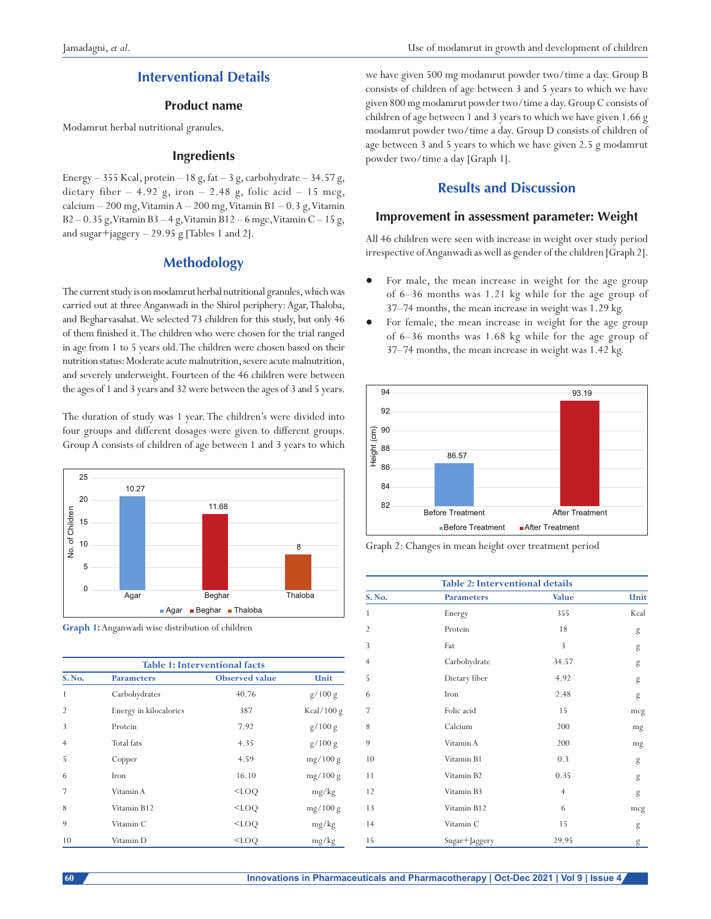# **Interventional Details**

#### **Product name**

Modamrut herbal nutritional granules.

## **Ingredients**

Energy  $-355$  Kcal, protein  $-18$  g, fat  $-3$  g, carbohydrate  $-34.57$  g, dietary fiber  $-4.92$  g, iron  $-2.48$  g, folic acid  $-15$  mcg, calcium  $-200$  mg, Vitamin A  $-200$  mg, Vitamin B1  $-0.3$  g, Vitamin  $B2 - 0.35$  g, Vitamin B3 – 4 g, Vitamin B12 – 6 mgc, Vitamin C – 15 g, and sugar+jaggery  $-29.95$  g [Tables 1 and 2].

## **Methodology**

The current study is on modamrut herbal nutritional granules, which was carried out at three Anganwadi in the Shirol periphery: Agar, Thaloba, and Begharvasahat. We selected 73 children for this study, but only 46 of them finished it. The children who were chosen for the trial ranged in age from 1 to 5 years old. The children were chosen based on their nutrition status: Moderate acute malnutrition, severe acute malnutrition, and severely underweight. Fourteen of the 46 children were between the ages of 1 and 3 years and 32 were between the ages of 3 and 5 years.

The duration of study was 1 year. The children's were divided into four groups and different dosages were given to different groups. Group A consists of children of age between 1 and 3 years to which



**Graph 1:** Anganwadi wise distribution of children

| <b>Table 1: Interventional facts</b> |                        |                       |               |  |  |
|--------------------------------------|------------------------|-----------------------|---------------|--|--|
| S. No.                               | <b>Parameters</b>      | <b>Observed</b> value | Unit          |  |  |
| 1                                    | Carbohydrates          | 40.76                 | g/100 g       |  |  |
| $\overline{2}$                       | Energy in kilocalories | 387                   | Kcal/ $100 g$ |  |  |
| 3                                    | Protein                | 7.92                  | g/100 g       |  |  |
| $\overline{4}$                       | Total fats             | 4.35                  | g/100 g       |  |  |
| 5                                    | Copper                 | 4.59                  | mg/100 g      |  |  |
| 6                                    | Iron                   | 16.10                 | mg/100 g      |  |  |
| 7                                    | Vitamin A              | $<$ LOO               | mg/kg         |  |  |
| 8                                    | Vitamin B12            | $<$ LOO               | mg/100 g      |  |  |
| $\mathbf Q$                          | Vitamin C              | $<$ LOO               | mg/kg         |  |  |
| 10                                   | Vitamin D              | $<$ LOO               | mg/kg         |  |  |

we have given 500 mg modamrut powder two/time a day. Group B consists of children of age between 3 and 5 years to which we have given 800 mg modamrut powder two/time a day. Group C consists of children of age between 1 and 3 years to which we have given 1.66 g modamrut powder two/time a day. Group D consists of children of age between 3 and 5 years to which we have given 2.5 g modamrut powder two/time a day [Graph 1].

# **Results and Discussion**

#### **Improvement in assessment parameter: Weight**

All 46 children were seen with increase in weight over study period irrespective of Anganwadi as well as gender of the children [Graph 2].

- For male, the mean increase in weight for the age group of 6–36 months was 1.21 kg while for the age group of 37–74 months, the mean increase in weight was 1.29 kg.
- For female, the mean increase in weight for the age group of 6–36 months was 1.68 kg while for the age group of 37–74 months, the mean increase in weight was 1.42 kg.



Graph 2: Changes in mean height over treatment period

| <b>Table 2: Interventional details</b> |                   |                |      |  |
|----------------------------------------|-------------------|----------------|------|--|
| S. No.                                 | <b>Parameters</b> | <b>Value</b>   | Unit |  |
| 1                                      | Energy            | 355            | Kcal |  |
| $\overline{2}$                         | Protein           | 18             | g    |  |
| 3                                      | Fat               | 3              | g    |  |
| $\overline{4}$                         | Carbohydrate      | 34.57          | g    |  |
| 5                                      | Dietary fiber     | 4.92           | g    |  |
| 6                                      | Iron              | 2.48           | g    |  |
| 7                                      | Folic acid        | 15             | mcg  |  |
| 8                                      | Calcium           | 200            | mg   |  |
| 9                                      | Vitamin A         | 200            | mg   |  |
| 10                                     | Vitamin B1        | 0.3            | g    |  |
| 11                                     | Vitamin B2        | 0.35           | g    |  |
| 12                                     | Vitamin B3        | $\overline{4}$ | g    |  |
| 13                                     | Vitamin B12       | 6              | mcg  |  |
| 14                                     | Vitamin C         | 15             | g    |  |
| 15                                     | Sugar+Jaggery     | 29.95          | g    |  |